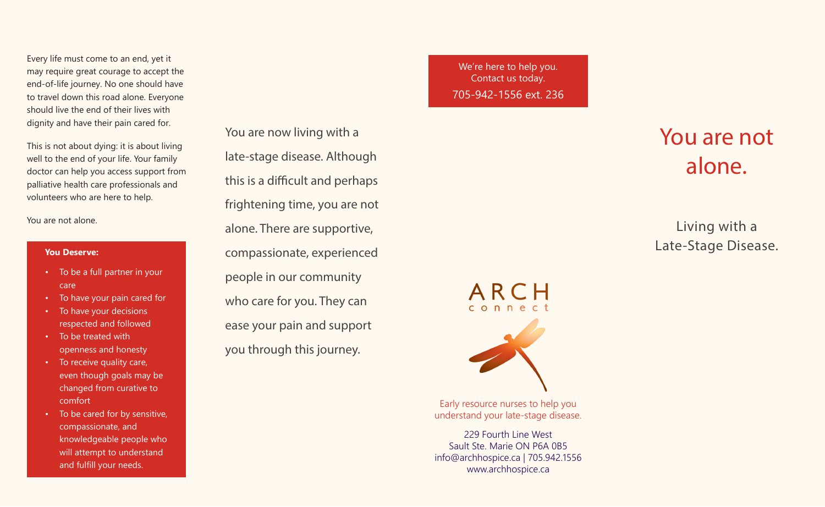Every life must come to an end, yet it may require great courage to accept the end-of-life journey. No one should have to travel down this road alone. Everyone should live the end of their lives with dignity and have their pain cared for.

This is not about dying: it is about living well to the end of your life. Your family doctor can help you access support from palliative health care professionals and volunteers who are here to help.

You are not alone.

#### **You Deserve:**

- To be a full partner in your care
- To have your pain cared for
- To have your decisions respected and followed
- To be treated with openness and honesty
- To receive quality care, even though goals may be changed from curative to comfort
- To be cared for by sensitive, compassionate, and knowledgeable people who will attempt to understand and fulfill your needs.

You are now living with a late-stage disease. Although this is a difficult and perhaps frightening time, you are not alone. There are supportive, compassionate, experienced people in our community who care for you. They can ease your pain and support you through this journey.

We're here to help you. Contact us today. 705-942-1556 ext. 236

# You are not alone.

Living with a Late-Stage Disease.



Early resource nurses to help you understand your late-stage disease.

229 Fourth Line West Sault Ste. Marie ON P6A 0B5 info@archhospice.ca | 705.942.1556 www.archhospice.ca